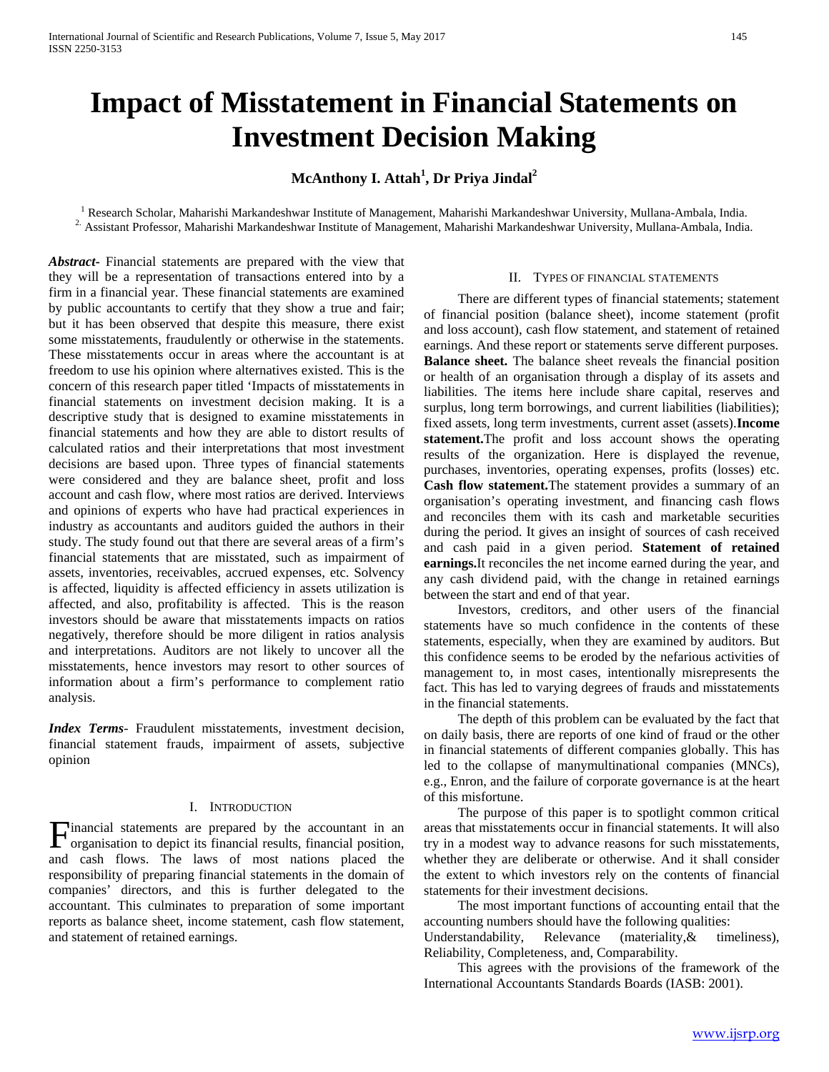# **Impact of Misstatement in Financial Statements on Investment Decision Making**

# **McAnthony I. Attah<sup>1</sup> , Dr Priya Jindal2**

<sup>1</sup> Research Scholar, Maharishi Markandeshwar Institute of Management, Maharishi Markandeshwar University, Mullana-Ambala, India.<br><sup>2.</sup> Assistant Professor, Maharishi Markandeshwar Institute of Management, Maharishi Markan

*Abstract***-** Financial statements are prepared with the view that they will be a representation of transactions entered into by a firm in a financial year. These financial statements are examined by public accountants to certify that they show a true and fair; but it has been observed that despite this measure, there exist some misstatements, fraudulently or otherwise in the statements. These misstatements occur in areas where the accountant is at freedom to use his opinion where alternatives existed. This is the concern of this research paper titled 'Impacts of misstatements in financial statements on investment decision making. It is a descriptive study that is designed to examine misstatements in financial statements and how they are able to distort results of calculated ratios and their interpretations that most investment decisions are based upon. Three types of financial statements were considered and they are balance sheet, profit and loss account and cash flow, where most ratios are derived. Interviews and opinions of experts who have had practical experiences in industry as accountants and auditors guided the authors in their study. The study found out that there are several areas of a firm's financial statements that are misstated, such as impairment of assets, inventories, receivables, accrued expenses, etc. Solvency is affected, liquidity is affected efficiency in assets utilization is affected, and also, profitability is affected. This is the reason investors should be aware that misstatements impacts on ratios negatively, therefore should be more diligent in ratios analysis and interpretations. Auditors are not likely to uncover all the misstatements, hence investors may resort to other sources of information about a firm's performance to complement ratio analysis.

*Index Terms*- Fraudulent misstatements, investment decision, financial statement frauds, impairment of assets, subjective opinion

## I. INTRODUCTION

Financial statements are prepared by the accountant in an organisation to depict its financial results, financial position, organisation to depict its financial results, financial position, and cash flows. The laws of most nations placed the responsibility of preparing financial statements in the domain of companies' directors, and this is further delegated to the accountant. This culminates to preparation of some important reports as balance sheet, income statement, cash flow statement, and statement of retained earnings.

## II. TYPES OF FINANCIAL STATEMENTS

 There are different types of financial statements; statement of financial position (balance sheet), income statement (profit and loss account), cash flow statement, and statement of retained earnings. And these report or statements serve different purposes. **Balance sheet.** The balance sheet reveals the financial position or health of an organisation through a display of its assets and liabilities. The items here include share capital, reserves and surplus, long term borrowings, and current liabilities (liabilities); fixed assets, long term investments, current asset (assets).**Income statement.**The profit and loss account shows the operating results of the organization. Here is displayed the revenue, purchases, inventories, operating expenses, profits (losses) etc. **Cash flow statement.**The statement provides a summary of an organisation's operating investment, and financing cash flows and reconciles them with its cash and marketable securities during the period. It gives an insight of sources of cash received and cash paid in a given period. **Statement of retained earnings.**It reconciles the net income earned during the year, and any cash dividend paid, with the change in retained earnings between the start and end of that year.

 Investors, creditors, and other users of the financial statements have so much confidence in the contents of these statements, especially, when they are examined by auditors. But this confidence seems to be eroded by the nefarious activities of management to, in most cases, intentionally misrepresents the fact. This has led to varying degrees of frauds and misstatements in the financial statements.

 The depth of this problem can be evaluated by the fact that on daily basis, there are reports of one kind of fraud or the other in financial statements of different companies globally. This has led to the collapse of manymultinational companies (MNCs), e.g., Enron, and the failure of corporate governance is at the heart of this misfortune.

 The purpose of this paper is to spotlight common critical areas that misstatements occur in financial statements. It will also try in a modest way to advance reasons for such misstatements, whether they are deliberate or otherwise. And it shall consider the extent to which investors rely on the contents of financial statements for their investment decisions.

 The most important functions of accounting entail that the accounting numbers should have the following qualities:<br>Understandability, Relevance (materiality, & times)

Understandability, Relevance (materiality, & timeliness), Reliability, Completeness, and, Comparability.

 This agrees with the provisions of the framework of the International Accountants Standards Boards (IASB: 2001).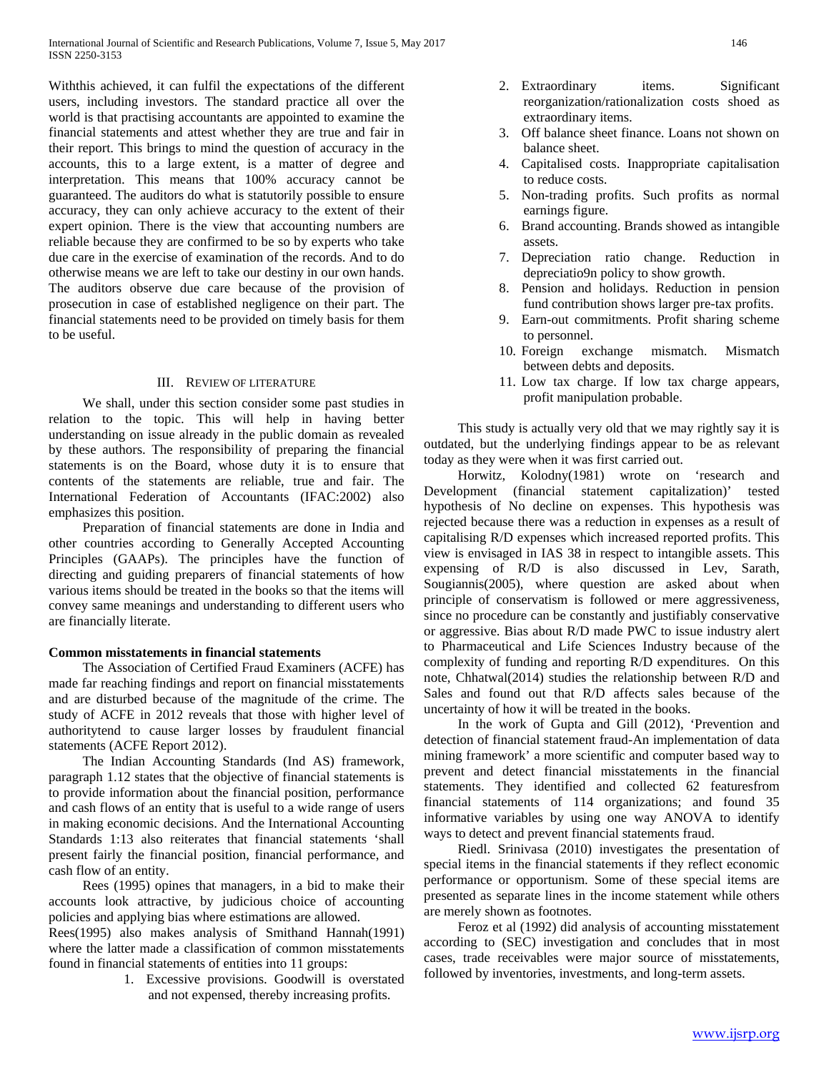Withthis achieved, it can fulfil the expectations of the different users, including investors. The standard practice all over the world is that practising accountants are appointed to examine the financial statements and attest whether they are true and fair in their report. This brings to mind the question of accuracy in the accounts, this to a large extent, is a matter of degree and interpretation. This means that 100% accuracy cannot be guaranteed. The auditors do what is statutorily possible to ensure accuracy, they can only achieve accuracy to the extent of their expert opinion. There is the view that accounting numbers are reliable because they are confirmed to be so by experts who take due care in the exercise of examination of the records. And to do otherwise means we are left to take our destiny in our own hands. The auditors observe due care because of the provision of prosecution in case of established negligence on their part. The financial statements need to be provided on timely basis for them to be useful.

## III. REVIEW OF LITERATURE

 We shall, under this section consider some past studies in relation to the topic. This will help in having better understanding on issue already in the public domain as revealed by these authors. The responsibility of preparing the financial statements is on the Board, whose duty it is to ensure that contents of the statements are reliable, true and fair. The International Federation of Accountants (IFAC:2002) also emphasizes this position.

 Preparation of financial statements are done in India and other countries according to Generally Accepted Accounting Principles (GAAPs). The principles have the function of directing and guiding preparers of financial statements of how various items should be treated in the books so that the items will convey same meanings and understanding to different users who are financially literate.

# **Common misstatements in financial statements**

 The Association of Certified Fraud Examiners (ACFE) has made far reaching findings and report on financial misstatements and are disturbed because of the magnitude of the crime. The study of ACFE in 2012 reveals that those with higher level of authoritytend to cause larger losses by fraudulent financial statements (ACFE Report 2012).

 The Indian Accounting Standards (Ind AS) framework, paragraph 1.12 states that the objective of financial statements is to provide information about the financial position, performance and cash flows of an entity that is useful to a wide range of users in making economic decisions. And the International Accounting Standards 1:13 also reiterates that financial statements 'shall present fairly the financial position, financial performance, and cash flow of an entity.

 Rees (1995) opines that managers, in a bid to make their accounts look attractive, by judicious choice of accounting policies and applying bias where estimations are allowed.

Rees(1995) also makes analysis of Smithand Hannah(1991) where the latter made a classification of common misstatements found in financial statements of entities into 11 groups:

> 1. Excessive provisions. Goodwill is overstated and not expensed, thereby increasing profits.

- 2. Extraordinary items. Significant reorganization/rationalization costs shoed as extraordinary items.
- 3. Off balance sheet finance. Loans not shown on balance sheet.
- 4. Capitalised costs. Inappropriate capitalisation to reduce costs.
- 5. Non-trading profits. Such profits as normal earnings figure.
- 6. Brand accounting. Brands showed as intangible assets.
- 7. Depreciation ratio change. Reduction in depreciatio9n policy to show growth.
- 8. Pension and holidays. Reduction in pension fund contribution shows larger pre-tax profits.
- 9. Earn-out commitments. Profit sharing scheme to personnel.
- 10. Foreign exchange mismatch. Mismatch between debts and deposits.
- 11. Low tax charge. If low tax charge appears, profit manipulation probable.

 This study is actually very old that we may rightly say it is outdated, but the underlying findings appear to be as relevant today as they were when it was first carried out.

 Horwitz, Kolodny(1981) wrote on 'research and Development (financial statement capitalization)' tested hypothesis of No decline on expenses. This hypothesis was rejected because there was a reduction in expenses as a result of capitalising R/D expenses which increased reported profits. This view is envisaged in IAS 38 in respect to intangible assets. This expensing of R/D is also discussed in Lev, Sarath, Sougiannis(2005), where question are asked about when principle of conservatism is followed or mere aggressiveness, since no procedure can be constantly and justifiably conservative or aggressive. Bias about R/D made PWC to issue industry alert to Pharmaceutical and Life Sciences Industry because of the complexity of funding and reporting R/D expenditures. On this note, Chhatwal(2014) studies the relationship between R/D and Sales and found out that R/D affects sales because of the uncertainty of how it will be treated in the books.

 In the work of Gupta and Gill (2012), 'Prevention and detection of financial statement fraud-An implementation of data mining framework' a more scientific and computer based way to prevent and detect financial misstatements in the financial statements. They identified and collected 62 featuresfrom financial statements of 114 organizations; and found 35 informative variables by using one way ANOVA to identify ways to detect and prevent financial statements fraud.

 Riedl. Srinivasa (2010) investigates the presentation of special items in the financial statements if they reflect economic performance or opportunism. Some of these special items are presented as separate lines in the income statement while others are merely shown as footnotes.

 Feroz et al (1992) did analysis of accounting misstatement according to (SEC) investigation and concludes that in most cases, trade receivables were major source of misstatements, followed by inventories, investments, and long-term assets.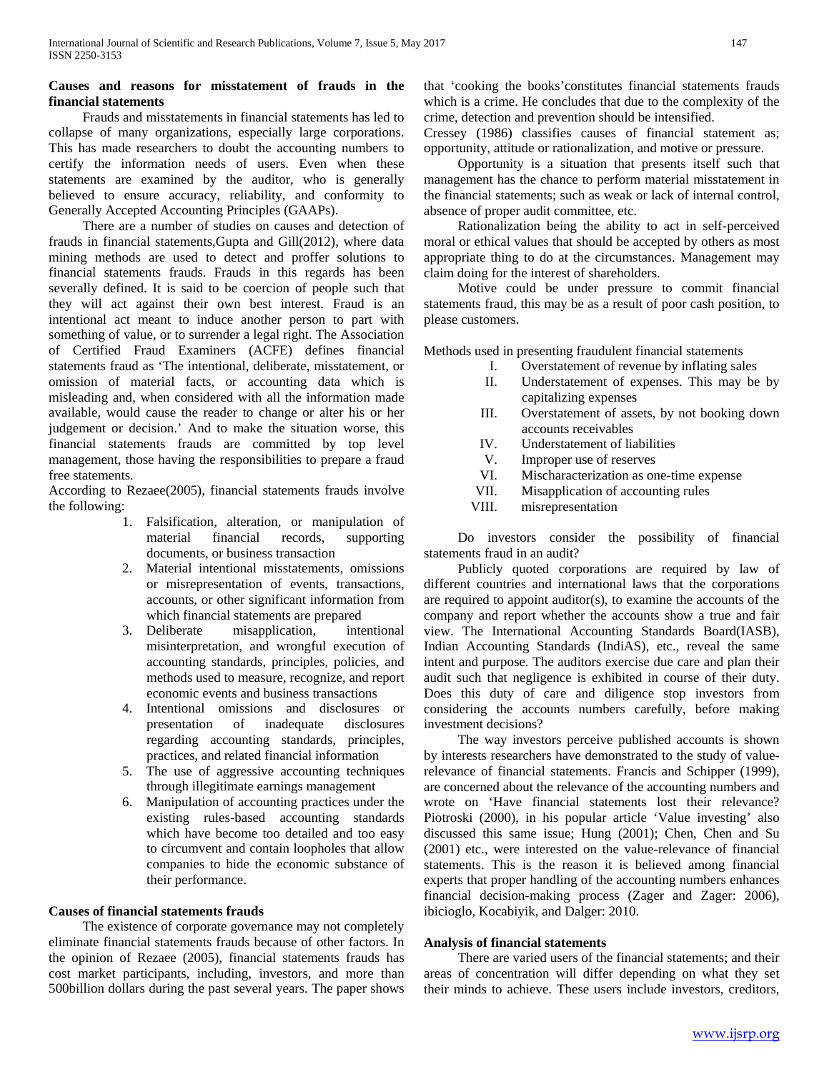# **Causes and reasons for misstatement of frauds in the financial statements**

 Frauds and misstatements in financial statements has led to collapse of many organizations, especially large corporations. This has made researchers to doubt the accounting numbers to certify the information needs of users. Even when these statements are examined by the auditor, who is generally believed to ensure accuracy, reliability, and conformity to Generally Accepted Accounting Principles (GAAPs).

 There are a number of studies on causes and detection of frauds in financial statements,Gupta and Gill(2012), where data mining methods are used to detect and proffer solutions to financial statements frauds. Frauds in this regards has been severally defined. It is said to be coercion of people such that they will act against their own best interest. Fraud is an intentional act meant to induce another person to part with something of value, or to surrender a legal right. The Association of Certified Fraud Examiners (ACFE) defines financial statements fraud as 'The intentional, deliberate, misstatement, or omission of material facts, or accounting data which is misleading and, when considered with all the information made available, would cause the reader to change or alter his or her judgement or decision.' And to make the situation worse, this financial statements frauds are committed by top level management, those having the responsibilities to prepare a fraud free statements.

According to Rezaee(2005), financial statements frauds involve the following:

- 1. Falsification, alteration, or manipulation of material financial records, supporting documents, or business transaction
- 2. Material intentional misstatements, omissions or misrepresentation of events, transactions, accounts, or other significant information from which financial statements are prepared
- 3. Deliberate misapplication, intentional misinterpretation, and wrongful execution of accounting standards, principles, policies, and methods used to measure, recognize, and report economic events and business transactions
- 4. Intentional omissions and disclosures or presentation of inadequate disclosures regarding accounting standards, principles, practices, and related financial information
- 5. The use of aggressive accounting techniques through illegitimate earnings management
- 6. Manipulation of accounting practices under the existing rules-based accounting standards which have become too detailed and too easy to circumvent and contain loopholes that allow companies to hide the economic substance of their performance.

# **Causes of financial statements frauds**

 The existence of corporate governance may not completely eliminate financial statements frauds because of other factors. In the opinion of Rezaee (2005), financial statements frauds has cost market participants, including, investors, and more than 500billion dollars during the past several years. The paper shows that 'cooking the books'constitutes financial statements frauds which is a crime. He concludes that due to the complexity of the crime, detection and prevention should be intensified.

Cressey (1986) classifies causes of financial statement as; opportunity, attitude or rationalization, and motive or pressure.

 Opportunity is a situation that presents itself such that management has the chance to perform material misstatement in the financial statements; such as weak or lack of internal control, absence of proper audit committee, etc.

 Rationalization being the ability to act in self-perceived moral or ethical values that should be accepted by others as most appropriate thing to do at the circumstances. Management may claim doing for the interest of shareholders.

 Motive could be under pressure to commit financial statements fraud, this may be as a result of poor cash position, to please customers.

Methods used in presenting fraudulent financial statements

- I. Overstatement of revenue by inflating sales
- II. Understatement of expenses. This may be by capitalizing expenses
- III. Overstatement of assets, by not booking down accounts receivables
- IV. Understatement of liabilities
- V. Improper use of reserves
- VI. Mischaracterization as one-time expense
- VII. Misapplication of accounting rules<br>VIII. misrepresentation
- misrepresentation

 Do investors consider the possibility of financial statements fraud in an audit?

 Publicly quoted corporations are required by law of different countries and international laws that the corporations are required to appoint auditor(s), to examine the accounts of the company and report whether the accounts show a true and fair view. The International Accounting Standards Board(IASB), Indian Accounting Standards (IndiAS), etc., reveal the same intent and purpose. The auditors exercise due care and plan their audit such that negligence is exhibited in course of their duty. Does this duty of care and diligence stop investors from considering the accounts numbers carefully, before making investment decisions?

 The way investors perceive published accounts is shown by interests researchers have demonstrated to the study of valuerelevance of financial statements. Francis and Schipper (1999), are concerned about the relevance of the accounting numbers and wrote on 'Have financial statements lost their relevance? Piotroski (2000), in his popular article 'Value investing' also discussed this same issue; Hung (2001); Chen, Chen and Su (2001) etc., were interested on the value-relevance of financial statements. This is the reason it is believed among financial experts that proper handling of the accounting numbers enhances financial decision-making process (Zager and Zager: 2006), ibicioglo, Kocabiyik, and Dalger: 2010.

# **Analysis of financial statements**

 There are varied users of the financial statements; and their areas of concentration will differ depending on what they set their minds to achieve. These users include investors, creditors,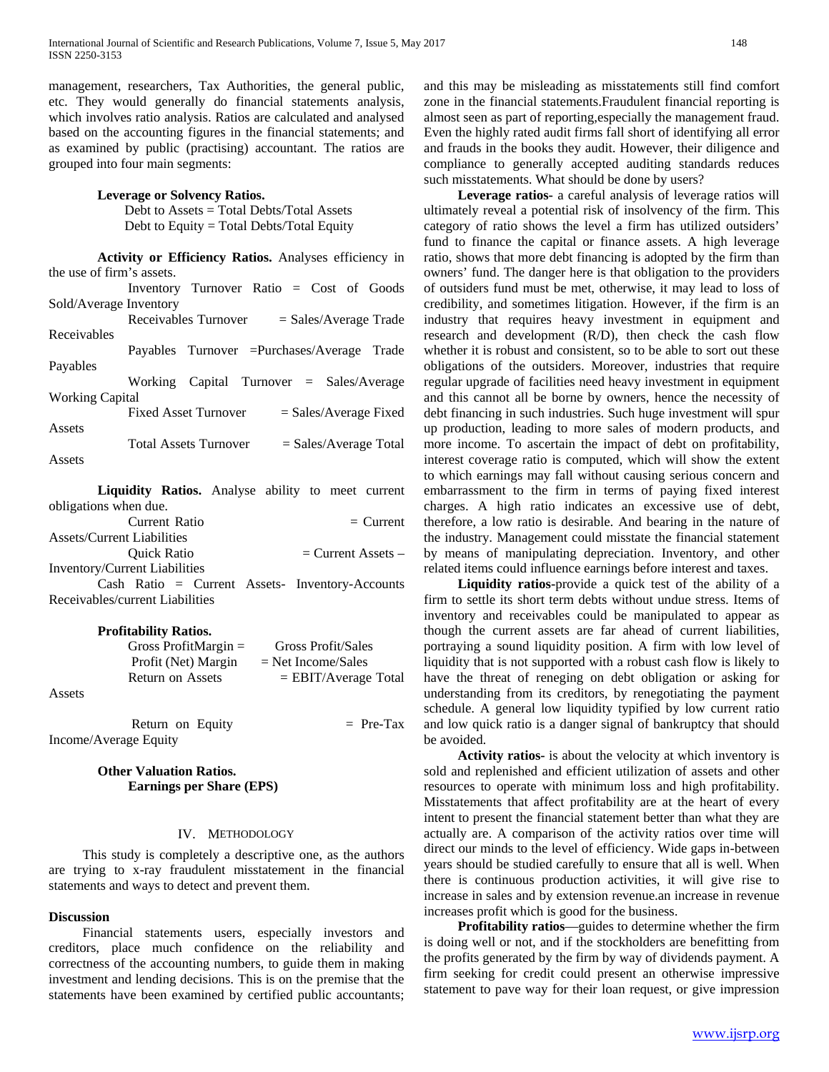management, researchers, Tax Authorities, the general public, etc. They would generally do financial statements analysis, which involves ratio analysis. Ratios are calculated and analysed based on the accounting figures in the financial statements; and as examined by public (practising) accountant. The ratios are grouped into four main segments:

#### **Leverage or Solvency Ratios.**

 Debt to Assets = Total Debts/Total Assets Debt to Equity = Total Debts/Total Equity

| Activity or Efficiency Ratios. Analyses efficiency in |                                                         |  |  |
|-------------------------------------------------------|---------------------------------------------------------|--|--|
| the use of firm's assets.                             |                                                         |  |  |
|                                                       | Inventory Turnover Ratio $=$ Cost of Goods              |  |  |
| Sold/Average Inventory                                |                                                         |  |  |
|                                                       | Receivables Turnover<br>$=$ Sales/Average Trade         |  |  |
| Receivables                                           |                                                         |  |  |
|                                                       | Payables Turnover = Purchases/Average Trade             |  |  |
| Payables                                              |                                                         |  |  |
|                                                       | Working Capital Turnover $=$ Sales/Average              |  |  |
| <b>Working Capital</b>                                |                                                         |  |  |
|                                                       | <b>Fixed Asset Turnover</b><br>$=$ Sales/Average Fixed  |  |  |
| Assets                                                |                                                         |  |  |
|                                                       | <b>Total Assets Turnover</b><br>$=$ Sales/Average Total |  |  |
| Assets                                                |                                                         |  |  |

**Liquidity Ratios.** Analyse ability to meet current obligations when due.

 Current Ratio = Current Assets/Current Liabilities Quick Ratio = Current Assets – Inventory/Current Liabilities

Cash Ratio = Current Assets- Inventory-Accounts Receivables/current Liabilities

#### **Profitability Ratios.**

|        | Gross ProfitMargin $=$ | Gross Profit/Sales     |
|--------|------------------------|------------------------|
|        | Profit (Net) Margin    | $=$ Net Income/Sales   |
|        | Return on Assets       | $=$ EBIT/Average Total |
| Assets |                        |                        |

| Return on Equity      | $=$ Pre-Tax |
|-----------------------|-------------|
| Income/Average Equity |             |

# **Other Valuation Ratios. Earnings per Share (EPS)**

#### IV. METHODOLOGY

 This study is completely a descriptive one, as the authors are trying to x-ray fraudulent misstatement in the financial statements and ways to detect and prevent them.

#### **Discussion**

 Financial statements users, especially investors and creditors, place much confidence on the reliability and correctness of the accounting numbers, to guide them in making investment and lending decisions. This is on the premise that the statements have been examined by certified public accountants;

and this may be misleading as misstatements still find comfort zone in the financial statements.Fraudulent financial reporting is almost seen as part of reporting,especially the management fraud. Even the highly rated audit firms fall short of identifying all error and frauds in the books they audit. However, their diligence and compliance to generally accepted auditing standards reduces such misstatements. What should be done by users?

 **Leverage ratios-** a careful analysis of leverage ratios will ultimately reveal a potential risk of insolvency of the firm. This category of ratio shows the level a firm has utilized outsiders' fund to finance the capital or finance assets. A high leverage ratio, shows that more debt financing is adopted by the firm than owners' fund. The danger here is that obligation to the providers of outsiders fund must be met, otherwise, it may lead to loss of credibility, and sometimes litigation. However, if the firm is an industry that requires heavy investment in equipment and research and development (R/D), then check the cash flow whether it is robust and consistent, so to be able to sort out these obligations of the outsiders. Moreover, industries that require regular upgrade of facilities need heavy investment in equipment and this cannot all be borne by owners, hence the necessity of debt financing in such industries. Such huge investment will spur up production, leading to more sales of modern products, and more income. To ascertain the impact of debt on profitability, interest coverage ratio is computed, which will show the extent to which earnings may fall without causing serious concern and embarrassment to the firm in terms of paying fixed interest charges. A high ratio indicates an excessive use of debt, therefore, a low ratio is desirable. And bearing in the nature of the industry. Management could misstate the financial statement by means of manipulating depreciation. Inventory, and other related items could influence earnings before interest and taxes.

 **Liquidity ratios-**provide a quick test of the ability of a firm to settle its short term debts without undue stress. Items of inventory and receivables could be manipulated to appear as though the current assets are far ahead of current liabilities, portraying a sound liquidity position. A firm with low level of liquidity that is not supported with a robust cash flow is likely to have the threat of reneging on debt obligation or asking for understanding from its creditors, by renegotiating the payment schedule. A general low liquidity typified by low current ratio and low quick ratio is a danger signal of bankruptcy that should be avoided.

 **Activity ratios-** is about the velocity at which inventory is sold and replenished and efficient utilization of assets and other resources to operate with minimum loss and high profitability. Misstatements that affect profitability are at the heart of every intent to present the financial statement better than what they are actually are. A comparison of the activity ratios over time will direct our minds to the level of efficiency. Wide gaps in-between years should be studied carefully to ensure that all is well. When there is continuous production activities, it will give rise to increase in sales and by extension revenue.an increase in revenue increases profit which is good for the business.

 **Profitability ratios**—guides to determine whether the firm is doing well or not, and if the stockholders are benefitting from the profits generated by the firm by way of dividends payment. A firm seeking for credit could present an otherwise impressive statement to pave way for their loan request, or give impression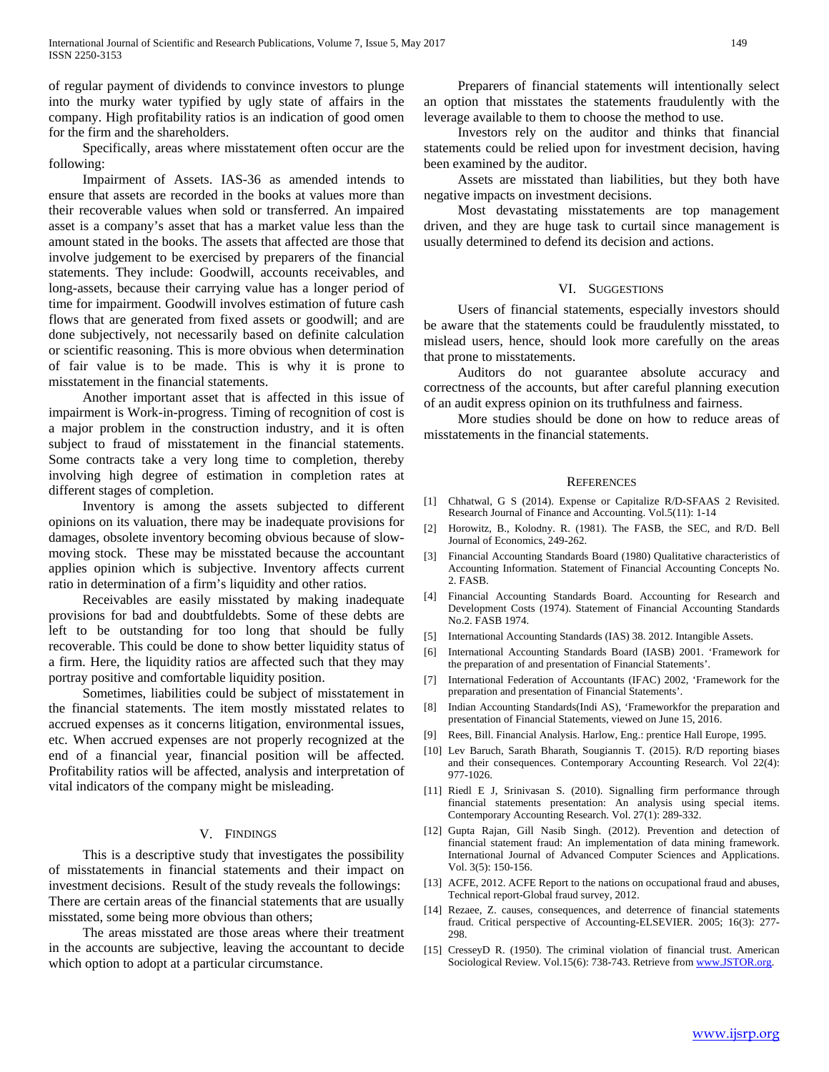of regular payment of dividends to convince investors to plunge into the murky water typified by ugly state of affairs in the company. High profitability ratios is an indication of good omen for the firm and the shareholders.

 Specifically, areas where misstatement often occur are the following:

 Impairment of Assets. IAS-36 as amended intends to ensure that assets are recorded in the books at values more than their recoverable values when sold or transferred. An impaired asset is a company's asset that has a market value less than the amount stated in the books. The assets that affected are those that involve judgement to be exercised by preparers of the financial statements. They include: Goodwill, accounts receivables, and long-assets, because their carrying value has a longer period of time for impairment. Goodwill involves estimation of future cash flows that are generated from fixed assets or goodwill; and are done subjectively, not necessarily based on definite calculation or scientific reasoning. This is more obvious when determination of fair value is to be made. This is why it is prone to misstatement in the financial statements.

 Another important asset that is affected in this issue of impairment is Work-in-progress. Timing of recognition of cost is a major problem in the construction industry, and it is often subject to fraud of misstatement in the financial statements. Some contracts take a very long time to completion, thereby involving high degree of estimation in completion rates at different stages of completion.

 Inventory is among the assets subjected to different opinions on its valuation, there may be inadequate provisions for damages, obsolete inventory becoming obvious because of slowmoving stock. These may be misstated because the accountant applies opinion which is subjective. Inventory affects current ratio in determination of a firm's liquidity and other ratios.

 Receivables are easily misstated by making inadequate provisions for bad and doubtfuldebts. Some of these debts are left to be outstanding for too long that should be fully recoverable. This could be done to show better liquidity status of a firm. Here, the liquidity ratios are affected such that they may portray positive and comfortable liquidity position.

 Sometimes, liabilities could be subject of misstatement in the financial statements. The item mostly misstated relates to accrued expenses as it concerns litigation, environmental issues, etc. When accrued expenses are not properly recognized at the end of a financial year, financial position will be affected. Profitability ratios will be affected, analysis and interpretation of vital indicators of the company might be misleading.

# V. FINDINGS

 This is a descriptive study that investigates the possibility of misstatements in financial statements and their impact on investment decisions. Result of the study reveals the followings: There are certain areas of the financial statements that are usually misstated, some being more obvious than others;

 The areas misstated are those areas where their treatment in the accounts are subjective, leaving the accountant to decide which option to adopt at a particular circumstance.

 Preparers of financial statements will intentionally select an option that misstates the statements fraudulently with the leverage available to them to choose the method to use.

 Investors rely on the auditor and thinks that financial statements could be relied upon for investment decision, having been examined by the auditor.

 Assets are misstated than liabilities, but they both have negative impacts on investment decisions.

 Most devastating misstatements are top management driven, and they are huge task to curtail since management is usually determined to defend its decision and actions.

## VI. SUGGESTIONS

 Users of financial statements, especially investors should be aware that the statements could be fraudulently misstated, to mislead users, hence, should look more carefully on the areas that prone to misstatements.

 Auditors do not guarantee absolute accuracy and correctness of the accounts, but after careful planning execution of an audit express opinion on its truthfulness and fairness.

 More studies should be done on how to reduce areas of misstatements in the financial statements.

#### **REFERENCES**

- [1] Chhatwal, G S (2014). Expense or Capitalize R/D-SFAAS 2 Revisited. Research Journal of Finance and Accounting. Vol.5(11): 1-14
- [2] Horowitz, B., Kolodny. R. (1981). The FASB, the SEC, and R/D. Bell Journal of Economics, 249-262.
- [3] Financial Accounting Standards Board (1980) Qualitative characteristics of Accounting Information. Statement of Financial Accounting Concepts No. 2. FASB.
- [4] Financial Accounting Standards Board. Accounting for Research and Development Costs (1974). Statement of Financial Accounting Standards No.2. FASB 1974.
- [5] International Accounting Standards (IAS) 38. 2012. Intangible Assets.
- [6] International Accounting Standards Board (IASB) 2001. 'Framework for the preparation of and presentation of Financial Statements'.
- [7] International Federation of Accountants (IFAC) 2002, 'Framework for the preparation and presentation of Financial Statements'.
- [8] Indian Accounting Standards(Indi AS), 'Frameworkfor the preparation and presentation of Financial Statements, viewed on June 15, 2016.
- [9] Rees, Bill. Financial Analysis. Harlow, Eng.: prentice Hall Europe, 1995.
- [10] Lev Baruch, Sarath Bharath, Sougiannis T. (2015). R/D reporting biases and their consequences. Contemporary Accounting Research. Vol 22(4): 977-1026.
- [11] Riedl E J, Srinivasan S. (2010). Signalling firm performance through financial statements presentation: An analysis using special items. Contemporary Accounting Research. Vol. 27(1): 289-332.
- [12] Gupta Rajan, Gill Nasib Singh. (2012). Prevention and detection of financial statement fraud: An implementation of data mining framework. International Journal of Advanced Computer Sciences and Applications. Vol. 3(5): 150-156.
- [13] ACFE, 2012. ACFE Report to the nations on occupational fraud and abuses, Technical report-Global fraud survey, 2012.
- [14] Rezaee, Z. causes, consequences, and deterrence of financial statements fraud. Critical perspective of Accounting-ELSEVIER. 2005; 16(3): 277- 298.
- [15] CresseyD R. (1950). The criminal violation of financial trust. American Sociological Review. Vol.15(6): 738-743. Retrieve fro[m www.JSTOR.org.](http://www.jstor.org/)